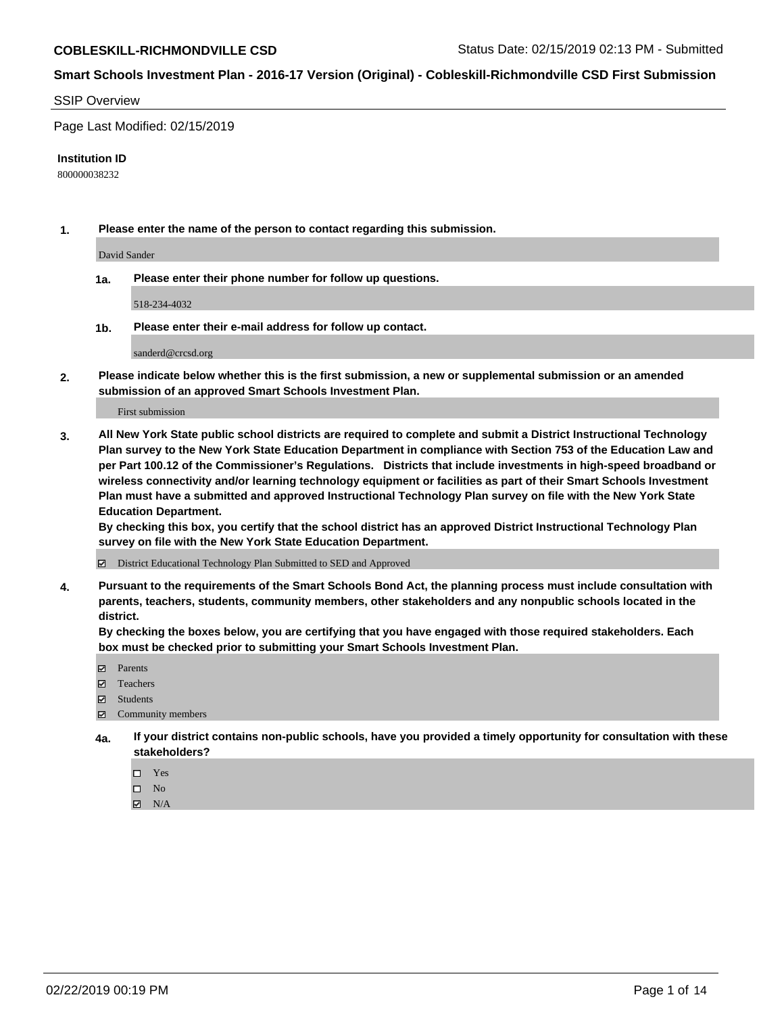#### SSIP Overview

Page Last Modified: 02/15/2019

#### **Institution ID**

800000038232

**1. Please enter the name of the person to contact regarding this submission.**

David Sander

**1a. Please enter their phone number for follow up questions.**

518-234-4032

**1b. Please enter their e-mail address for follow up contact.**

sanderd@crcsd.org

**2. Please indicate below whether this is the first submission, a new or supplemental submission or an amended submission of an approved Smart Schools Investment Plan.**

First submission

**3. All New York State public school districts are required to complete and submit a District Instructional Technology Plan survey to the New York State Education Department in compliance with Section 753 of the Education Law and per Part 100.12 of the Commissioner's Regulations. Districts that include investments in high-speed broadband or wireless connectivity and/or learning technology equipment or facilities as part of their Smart Schools Investment Plan must have a submitted and approved Instructional Technology Plan survey on file with the New York State Education Department.** 

**By checking this box, you certify that the school district has an approved District Instructional Technology Plan survey on file with the New York State Education Department.**

District Educational Technology Plan Submitted to SED and Approved

**4. Pursuant to the requirements of the Smart Schools Bond Act, the planning process must include consultation with parents, teachers, students, community members, other stakeholders and any nonpublic schools located in the district.** 

**By checking the boxes below, you are certifying that you have engaged with those required stakeholders. Each box must be checked prior to submitting your Smart Schools Investment Plan.**

- **□** Parents
- Teachers
- Students
- $\boxtimes$  Community members
- **4a. If your district contains non-public schools, have you provided a timely opportunity for consultation with these stakeholders?**
	- $\Box$  Yes
	- $\qquad \qquad$  No
	- $\blacksquare$  N/A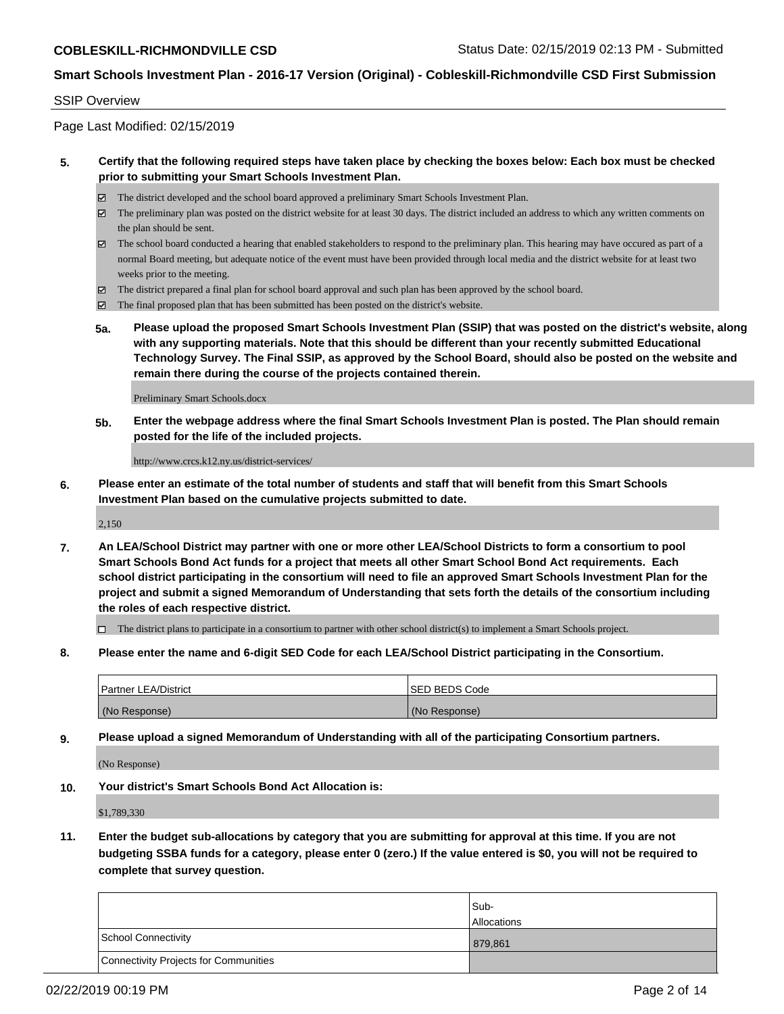#### SSIP Overview

Page Last Modified: 02/15/2019

### **5. Certify that the following required steps have taken place by checking the boxes below: Each box must be checked prior to submitting your Smart Schools Investment Plan.**

- The district developed and the school board approved a preliminary Smart Schools Investment Plan.
- $\boxtimes$  The preliminary plan was posted on the district website for at least 30 days. The district included an address to which any written comments on the plan should be sent.
- $\boxtimes$  The school board conducted a hearing that enabled stakeholders to respond to the preliminary plan. This hearing may have occured as part of a normal Board meeting, but adequate notice of the event must have been provided through local media and the district website for at least two weeks prior to the meeting.
- The district prepared a final plan for school board approval and such plan has been approved by the school board.
- $\boxtimes$  The final proposed plan that has been submitted has been posted on the district's website.
- **5a. Please upload the proposed Smart Schools Investment Plan (SSIP) that was posted on the district's website, along with any supporting materials. Note that this should be different than your recently submitted Educational Technology Survey. The Final SSIP, as approved by the School Board, should also be posted on the website and remain there during the course of the projects contained therein.**

Preliminary Smart Schools.docx

**5b. Enter the webpage address where the final Smart Schools Investment Plan is posted. The Plan should remain posted for the life of the included projects.**

http://www.crcs.k12.ny.us/district-services/

**6. Please enter an estimate of the total number of students and staff that will benefit from this Smart Schools Investment Plan based on the cumulative projects submitted to date.**

2,150

**7. An LEA/School District may partner with one or more other LEA/School Districts to form a consortium to pool Smart Schools Bond Act funds for a project that meets all other Smart School Bond Act requirements. Each school district participating in the consortium will need to file an approved Smart Schools Investment Plan for the project and submit a signed Memorandum of Understanding that sets forth the details of the consortium including the roles of each respective district.**

 $\Box$  The district plans to participate in a consortium to partner with other school district(s) to implement a Smart Schools project.

**8. Please enter the name and 6-digit SED Code for each LEA/School District participating in the Consortium.**

| <b>Partner LEA/District</b> | <b>ISED BEDS Code</b> |
|-----------------------------|-----------------------|
| (No Response)               | (No Response)         |

**9. Please upload a signed Memorandum of Understanding with all of the participating Consortium partners.**

(No Response)

**10. Your district's Smart Schools Bond Act Allocation is:**

\$1,789,330

**11. Enter the budget sub-allocations by category that you are submitting for approval at this time. If you are not budgeting SSBA funds for a category, please enter 0 (zero.) If the value entered is \$0, you will not be required to complete that survey question.**

|                                       | Sub-               |
|---------------------------------------|--------------------|
|                                       | <b>Allocations</b> |
| School Connectivity                   | 879,861            |
| Connectivity Projects for Communities |                    |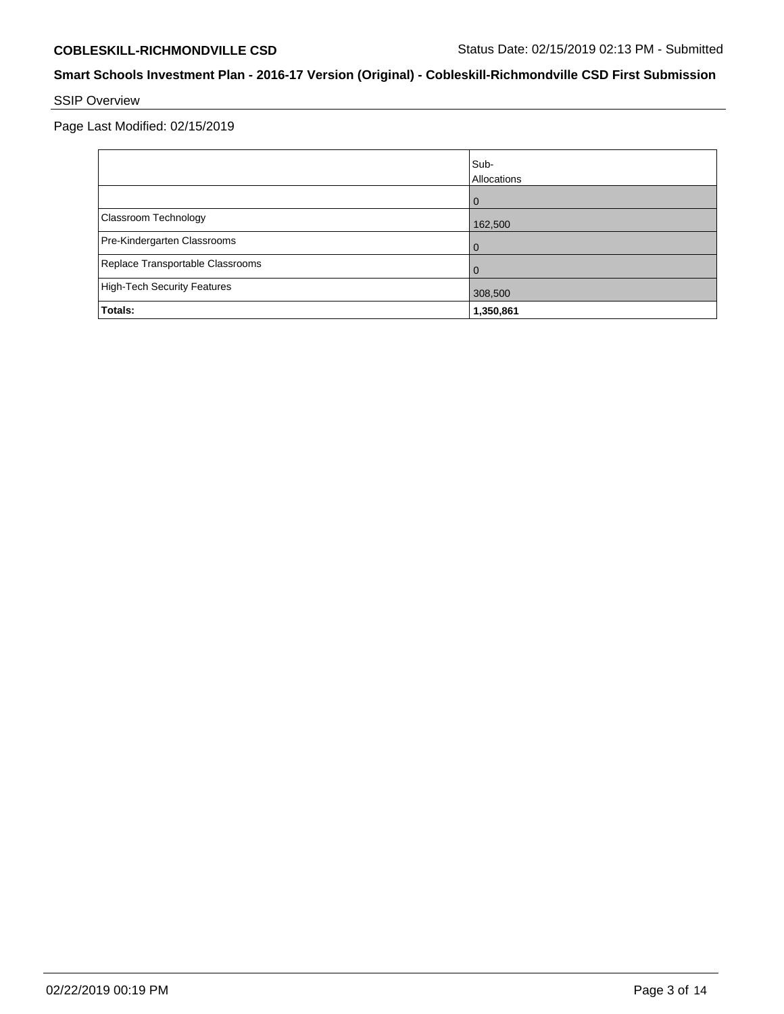SSIP Overview

Page Last Modified: 02/15/2019

|                                    | Sub-<br>Allocations |
|------------------------------------|---------------------|
|                                    | 0                   |
| Classroom Technology               | 162,500             |
| Pre-Kindergarten Classrooms        | 0                   |
| Replace Transportable Classrooms   | 0                   |
| <b>High-Tech Security Features</b> | 308,500             |
| Totals:                            | 1,350,861           |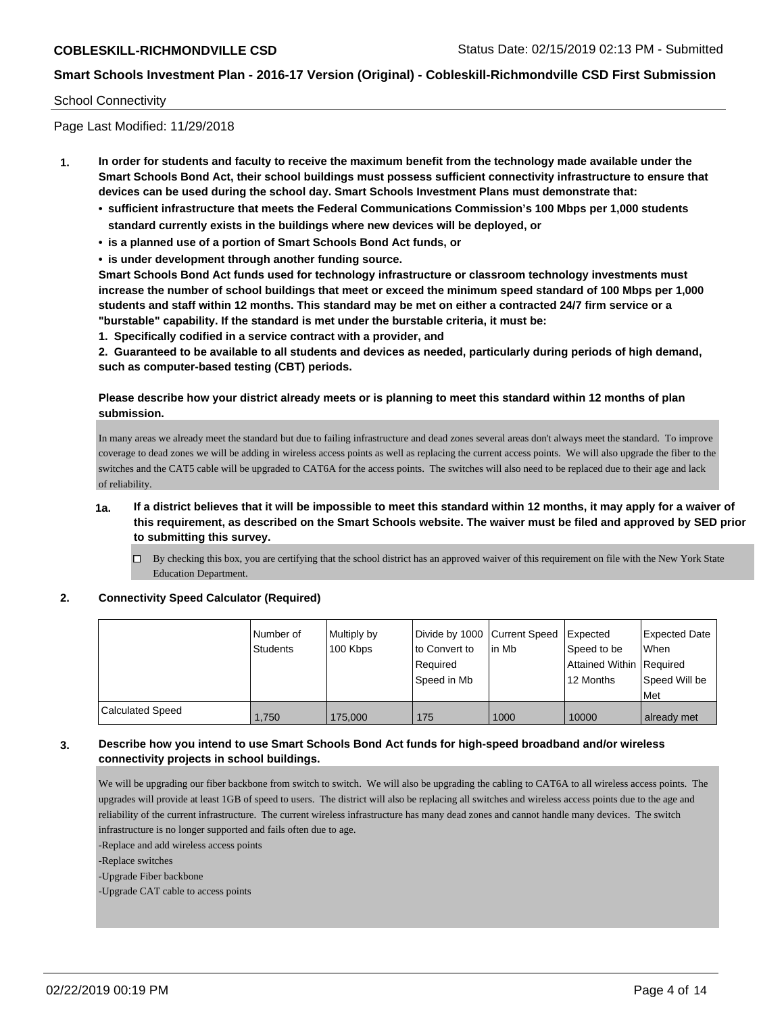#### School Connectivity

Page Last Modified: 11/29/2018

- **1. In order for students and faculty to receive the maximum benefit from the technology made available under the Smart Schools Bond Act, their school buildings must possess sufficient connectivity infrastructure to ensure that devices can be used during the school day. Smart Schools Investment Plans must demonstrate that:**
	- **• sufficient infrastructure that meets the Federal Communications Commission's 100 Mbps per 1,000 students standard currently exists in the buildings where new devices will be deployed, or**
	- **• is a planned use of a portion of Smart Schools Bond Act funds, or**
	- **• is under development through another funding source.**

**Smart Schools Bond Act funds used for technology infrastructure or classroom technology investments must increase the number of school buildings that meet or exceed the minimum speed standard of 100 Mbps per 1,000 students and staff within 12 months. This standard may be met on either a contracted 24/7 firm service or a "burstable" capability. If the standard is met under the burstable criteria, it must be:**

**1. Specifically codified in a service contract with a provider, and**

**2. Guaranteed to be available to all students and devices as needed, particularly during periods of high demand, such as computer-based testing (CBT) periods.**

## **Please describe how your district already meets or is planning to meet this standard within 12 months of plan submission.**

In many areas we already meet the standard but due to failing infrastructure and dead zones several areas don't always meet the standard. To improve coverage to dead zones we will be adding in wireless access points as well as replacing the current access points. We will also upgrade the fiber to the switches and the CAT5 cable will be upgraded to CAT6A for the access points. The switches will also need to be replaced due to their age and lack of reliability.

- **1a. If a district believes that it will be impossible to meet this standard within 12 months, it may apply for a waiver of this requirement, as described on the Smart Schools website. The waiver must be filed and approved by SED prior to submitting this survey.**
	- $\Box$  By checking this box, you are certifying that the school district has an approved waiver of this requirement on file with the New York State Education Department.

#### **2. Connectivity Speed Calculator (Required)**

|                         | Number of<br>Students | Multiply by<br>100 Kbps | Divide by 1000 Current Speed<br>to Convert to<br>Reauired<br>Speed in Mb | in Mb | <b>Expected</b><br>Speed to be<br>Attained Within Required<br>12 Months | <b>Expected Date</b><br>When<br>Speed Will be<br>Met |
|-------------------------|-----------------------|-------------------------|--------------------------------------------------------------------------|-------|-------------------------------------------------------------------------|------------------------------------------------------|
| <b>Calculated Speed</b> | 1.750                 | 175,000                 | 175                                                                      | 1000  | 10000                                                                   | already met                                          |

### **3. Describe how you intend to use Smart Schools Bond Act funds for high-speed broadband and/or wireless connectivity projects in school buildings.**

We will be upgrading our fiber backbone from switch to switch. We will also be upgrading the cabling to CAT6A to all wireless access points. The upgrades will provide at least 1GB of speed to users. The district will also be replacing all switches and wireless access points due to the age and reliability of the current infrastructure. The current wireless infrastructure has many dead zones and cannot handle many devices. The switch infrastructure is no longer supported and fails often due to age.

-Replace and add wireless access points

-Replace switches

-Upgrade Fiber backbone

-Upgrade CAT cable to access points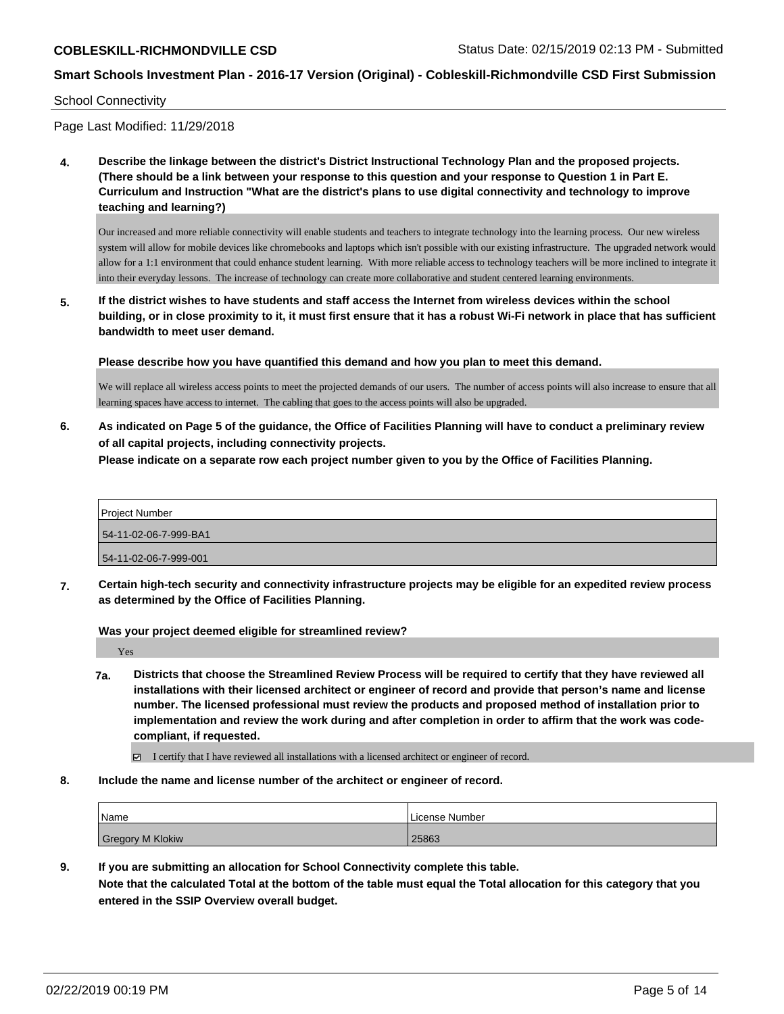School Connectivity

Page Last Modified: 11/29/2018

**4. Describe the linkage between the district's District Instructional Technology Plan and the proposed projects. (There should be a link between your response to this question and your response to Question 1 in Part E. Curriculum and Instruction "What are the district's plans to use digital connectivity and technology to improve teaching and learning?)**

Our increased and more reliable connectivity will enable students and teachers to integrate technology into the learning process. Our new wireless system will allow for mobile devices like chromebooks and laptops which isn't possible with our existing infrastructure. The upgraded network would allow for a 1:1 environment that could enhance student learning. With more reliable access to technology teachers will be more inclined to integrate it into their everyday lessons. The increase of technology can create more collaborative and student centered learning environments.

**5. If the district wishes to have students and staff access the Internet from wireless devices within the school building, or in close proximity to it, it must first ensure that it has a robust Wi-Fi network in place that has sufficient bandwidth to meet user demand.**

**Please describe how you have quantified this demand and how you plan to meet this demand.**

We will replace all wireless access points to meet the projected demands of our users. The number of access points will also increase to ensure that all learning spaces have access to internet. The cabling that goes to the access points will also be upgraded.

**6. As indicated on Page 5 of the guidance, the Office of Facilities Planning will have to conduct a preliminary review of all capital projects, including connectivity projects.**

**Please indicate on a separate row each project number given to you by the Office of Facilities Planning.**

| <b>Project Number</b> |
|-----------------------|
| 54-11-02-06-7-999-BA1 |
| 54-11-02-06-7-999-001 |

**7. Certain high-tech security and connectivity infrastructure projects may be eligible for an expedited review process as determined by the Office of Facilities Planning.**

**Was your project deemed eligible for streamlined review?**

Yes

**7a. Districts that choose the Streamlined Review Process will be required to certify that they have reviewed all installations with their licensed architect or engineer of record and provide that person's name and license number. The licensed professional must review the products and proposed method of installation prior to implementation and review the work during and after completion in order to affirm that the work was codecompliant, if requested.**

I certify that I have reviewed all installations with a licensed architect or engineer of record.

**8. Include the name and license number of the architect or engineer of record.**

| <b>Name</b>      | License Number |  |  |
|------------------|----------------|--|--|
| Gregory M Klokiw | 25863          |  |  |

**9. If you are submitting an allocation for School Connectivity complete this table.**

**Note that the calculated Total at the bottom of the table must equal the Total allocation for this category that you entered in the SSIP Overview overall budget.**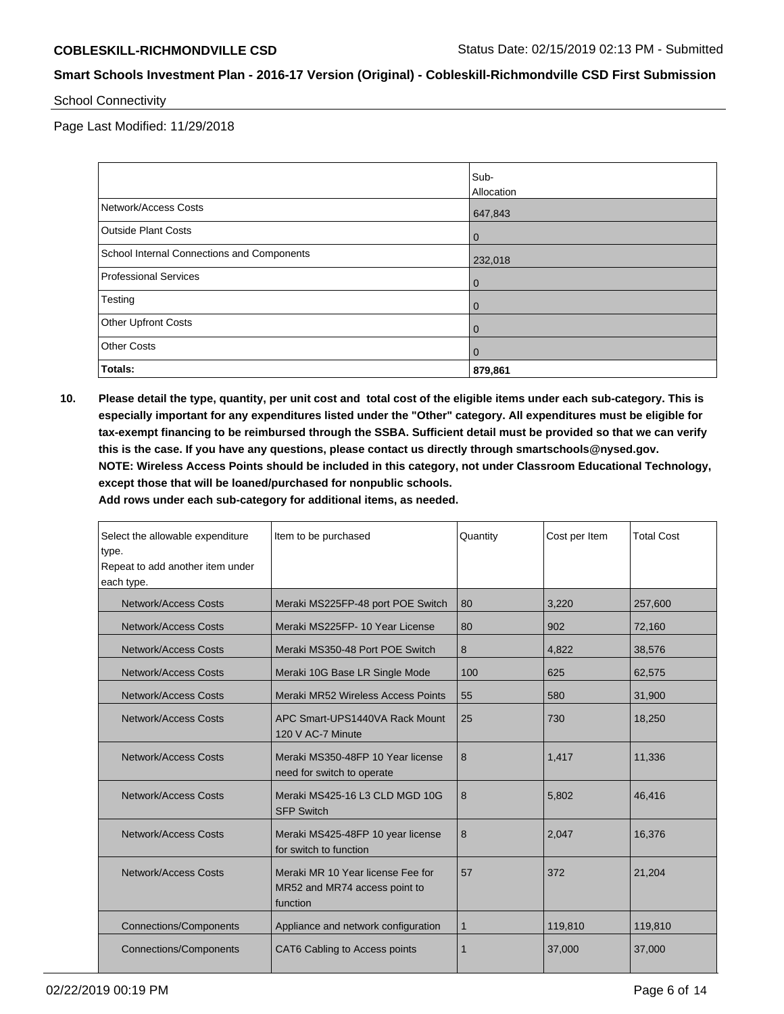School Connectivity

Page Last Modified: 11/29/2018

|                                            | Sub-           |
|--------------------------------------------|----------------|
|                                            | Allocation     |
| Network/Access Costs                       | 647,843        |
| <b>Outside Plant Costs</b>                 | $\mathbf 0$    |
| School Internal Connections and Components | 232,018        |
| <b>Professional Services</b>               | $\mathbf 0$    |
| Testing                                    | $\overline{0}$ |
| <b>Other Upfront Costs</b>                 | $\overline{0}$ |
| <b>Other Costs</b>                         | $\mathbf{0}$   |
| Totals:                                    | 879,861        |

**10. Please detail the type, quantity, per unit cost and total cost of the eligible items under each sub-category. This is especially important for any expenditures listed under the "Other" category. All expenditures must be eligible for tax-exempt financing to be reimbursed through the SSBA. Sufficient detail must be provided so that we can verify this is the case. If you have any questions, please contact us directly through smartschools@nysed.gov. NOTE: Wireless Access Points should be included in this category, not under Classroom Educational Technology, except those that will be loaned/purchased for nonpublic schools.**

**Add rows under each sub-category for additional items, as needed.**

| Select the allowable expenditure<br>type.<br>Repeat to add another item under<br>each type. | Item to be purchased                                                           | Quantity | Cost per Item | <b>Total Cost</b> |
|---------------------------------------------------------------------------------------------|--------------------------------------------------------------------------------|----------|---------------|-------------------|
| <b>Network/Access Costs</b>                                                                 | Meraki MS225FP-48 port POE Switch                                              | 80       | 3,220         | 257,600           |
| <b>Network/Access Costs</b>                                                                 | Meraki MS225FP-10 Year License                                                 | 80       | 902           | 72,160            |
| <b>Network/Access Costs</b>                                                                 | Meraki MS350-48 Port POE Switch                                                | 8        | 4,822         | 38,576            |
| <b>Network/Access Costs</b>                                                                 | Meraki 10G Base LR Single Mode                                                 | 100      | 625           | 62,575            |
| <b>Network/Access Costs</b>                                                                 | Meraki MR52 Wireless Access Points                                             | 55       | 580           | 31,900            |
| Network/Access Costs                                                                        | APC Smart-UPS1440VA Rack Mount<br>120 V AC-7 Minute                            | 25       | 730           | 18,250            |
| Network/Access Costs                                                                        | Meraki MS350-48FP 10 Year license<br>need for switch to operate                | 8        | 1.417         | 11,336            |
| Network/Access Costs                                                                        | Meraki MS425-16 L3 CLD MGD 10G<br><b>SFP Switch</b>                            | 8        | 5,802         | 46,416            |
| Network/Access Costs                                                                        | Meraki MS425-48FP 10 year license<br>for switch to function                    | 8        | 2,047         | 16,376            |
| Network/Access Costs                                                                        | Meraki MR 10 Year license Fee for<br>MR52 and MR74 access point to<br>function | 57       | 372           | 21,204            |
| <b>Connections/Components</b>                                                               | Appliance and network configuration                                            | 1        | 119,810       | 119,810           |
| <b>Connections/Components</b>                                                               | CAT6 Cabling to Access points                                                  |          | 37,000        | 37,000            |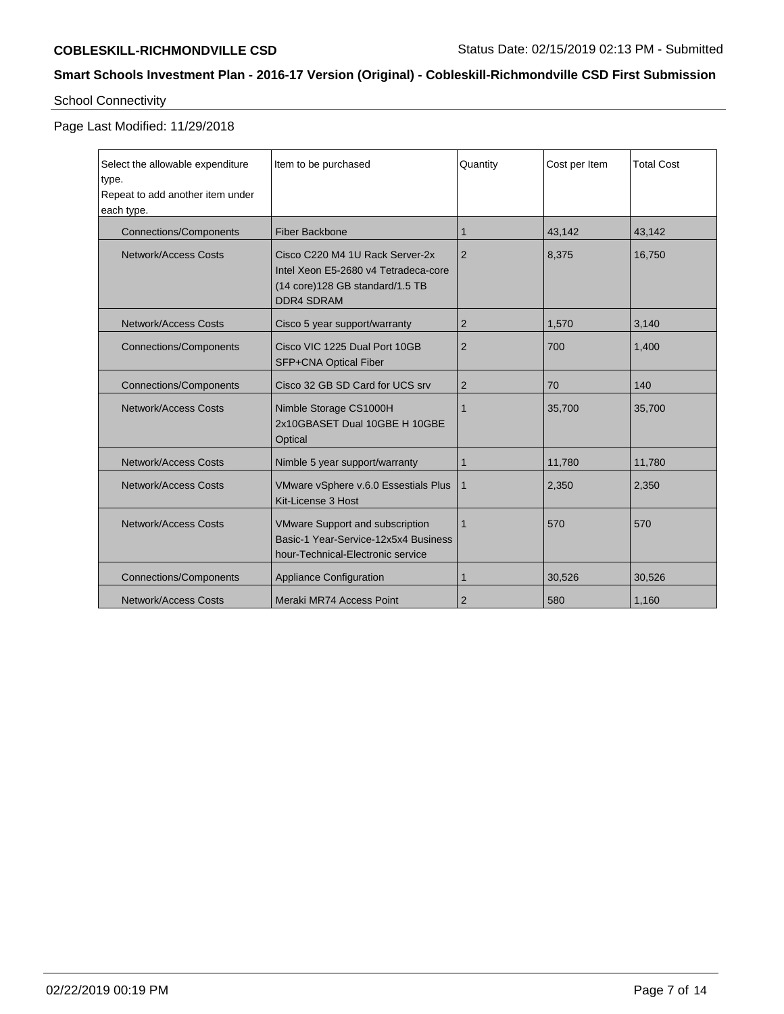## School Connectivity

Page Last Modified: 11/29/2018

| Select the allowable expenditure<br>type.<br>Repeat to add another item under<br>each type. | Item to be purchased                                                                                                             | Quantity       | Cost per Item | <b>Total Cost</b> |
|---------------------------------------------------------------------------------------------|----------------------------------------------------------------------------------------------------------------------------------|----------------|---------------|-------------------|
| <b>Connections/Components</b>                                                               | <b>Fiber Backbone</b>                                                                                                            | 1              | 43,142        | 43,142            |
| Network/Access Costs                                                                        | Cisco C220 M4 1U Rack Server-2x<br>Intel Xeon E5-2680 v4 Tetradeca-core<br>(14 core) 128 GB standard/1.5 TB<br><b>DDR4 SDRAM</b> | 2              | 8,375         | 16,750            |
| <b>Network/Access Costs</b>                                                                 | Cisco 5 year support/warranty                                                                                                    | $\overline{2}$ | 1,570         | 3,140             |
| <b>Connections/Components</b>                                                               | Cisco VIC 1225 Dual Port 10GB<br>SFP+CNA Optical Fiber                                                                           | 2              | 700           | 1,400             |
| <b>Connections/Components</b>                                                               | Cisco 32 GB SD Card for UCS srv                                                                                                  | $\overline{2}$ | 70            | 140               |
| Network/Access Costs                                                                        | Nimble Storage CS1000H<br>2x10GBASET Dual 10GBE H 10GBE<br>Optical                                                               | 1              | 35,700        | 35,700            |
| <b>Network/Access Costs</b>                                                                 | Nimble 5 year support/warranty                                                                                                   | 1              | 11,780        | 11,780            |
| <b>Network/Access Costs</b>                                                                 | VMware vSphere v.6.0 Essestials Plus<br>Kit-License 3 Host                                                                       | $\mathbf 1$    | 2,350         | 2,350             |
| <b>Network/Access Costs</b>                                                                 | <b>VMware Support and subscription</b><br>Basic-1 Year-Service-12x5x4 Business<br>hour-Technical-Electronic service              | $\mathbf 1$    | 570           | 570               |
| <b>Connections/Components</b>                                                               | <b>Appliance Configuration</b>                                                                                                   | 1              | 30,526        | 30,526            |
| <b>Network/Access Costs</b>                                                                 | Meraki MR74 Access Point                                                                                                         | $\overline{2}$ | 580           | 1,160             |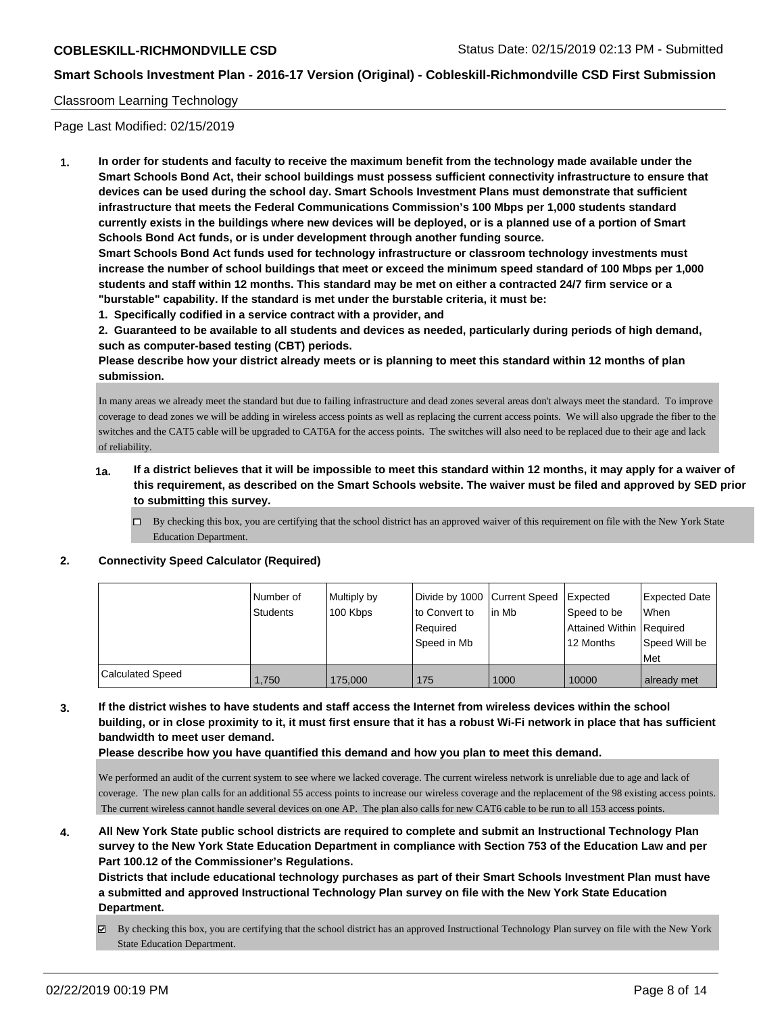## Classroom Learning Technology

Page Last Modified: 02/15/2019

**1. In order for students and faculty to receive the maximum benefit from the technology made available under the Smart Schools Bond Act, their school buildings must possess sufficient connectivity infrastructure to ensure that devices can be used during the school day. Smart Schools Investment Plans must demonstrate that sufficient infrastructure that meets the Federal Communications Commission's 100 Mbps per 1,000 students standard currently exists in the buildings where new devices will be deployed, or is a planned use of a portion of Smart Schools Bond Act funds, or is under development through another funding source.**

**Smart Schools Bond Act funds used for technology infrastructure or classroom technology investments must increase the number of school buildings that meet or exceed the minimum speed standard of 100 Mbps per 1,000 students and staff within 12 months. This standard may be met on either a contracted 24/7 firm service or a "burstable" capability. If the standard is met under the burstable criteria, it must be:**

**1. Specifically codified in a service contract with a provider, and**

**2. Guaranteed to be available to all students and devices as needed, particularly during periods of high demand, such as computer-based testing (CBT) periods.**

**Please describe how your district already meets or is planning to meet this standard within 12 months of plan submission.**

In many areas we already meet the standard but due to failing infrastructure and dead zones several areas don't always meet the standard. To improve coverage to dead zones we will be adding in wireless access points as well as replacing the current access points. We will also upgrade the fiber to the switches and the CAT5 cable will be upgraded to CAT6A for the access points. The switches will also need to be replaced due to their age and lack of reliability.

- **1a. If a district believes that it will be impossible to meet this standard within 12 months, it may apply for a waiver of this requirement, as described on the Smart Schools website. The waiver must be filed and approved by SED prior to submitting this survey.**
	- By checking this box, you are certifying that the school district has an approved waiver of this requirement on file with the New York State Education Department.

#### **2. Connectivity Speed Calculator (Required)**

|                         | Number of | Multiply by |               | Divide by 1000 Current Speed Expected |                          | Expected Date |
|-------------------------|-----------|-------------|---------------|---------------------------------------|--------------------------|---------------|
|                         | Students  | 100 Kbps    | to Convert to | lin Mb                                | Speed to be              | When          |
|                         |           |             | Required      |                                       | Attained Within Required |               |
|                         |           |             | Speed in Mb   |                                       | 12 Months                | Speed Will be |
|                         |           |             |               |                                       |                          | Met           |
| <b>Calculated Speed</b> | 1.750     | 175,000     | 175           | 1000                                  | 10000                    | already met   |

**3. If the district wishes to have students and staff access the Internet from wireless devices within the school building, or in close proximity to it, it must first ensure that it has a robust Wi-Fi network in place that has sufficient bandwidth to meet user demand.**

**Please describe how you have quantified this demand and how you plan to meet this demand.**

We performed an audit of the current system to see where we lacked coverage. The current wireless network is unreliable due to age and lack of coverage. The new plan calls for an additional 55 access points to increase our wireless coverage and the replacement of the 98 existing access points. The current wireless cannot handle several devices on one AP. The plan also calls for new CAT6 cable to be run to all 153 access points.

**4. All New York State public school districts are required to complete and submit an Instructional Technology Plan survey to the New York State Education Department in compliance with Section 753 of the Education Law and per Part 100.12 of the Commissioner's Regulations.**

**Districts that include educational technology purchases as part of their Smart Schools Investment Plan must have a submitted and approved Instructional Technology Plan survey on file with the New York State Education Department.**

By checking this box, you are certifying that the school district has an approved Instructional Technology Plan survey on file with the New York State Education Department.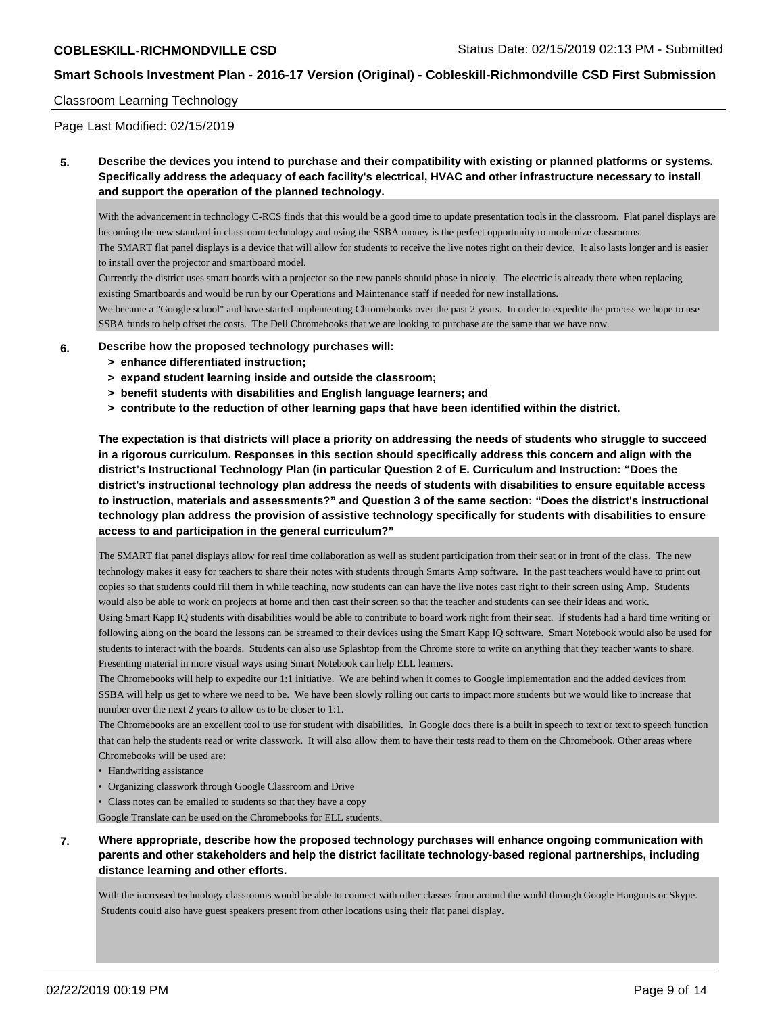### Classroom Learning Technology

Page Last Modified: 02/15/2019

**5. Describe the devices you intend to purchase and their compatibility with existing or planned platforms or systems. Specifically address the adequacy of each facility's electrical, HVAC and other infrastructure necessary to install and support the operation of the planned technology.**

With the advancement in technology C-RCS finds that this would be a good time to update presentation tools in the classroom. Flat panel displays are becoming the new standard in classroom technology and using the SSBA money is the perfect opportunity to modernize classrooms. The SMART flat panel displays is a device that will allow for students to receive the live notes right on their device. It also lasts longer and is easier to install over the projector and smartboard model.

Currently the district uses smart boards with a projector so the new panels should phase in nicely. The electric is already there when replacing existing Smartboards and would be run by our Operations and Maintenance staff if needed for new installations.

We became a "Google school" and have started implementing Chromebooks over the past 2 years. In order to expedite the process we hope to use SSBA funds to help offset the costs. The Dell Chromebooks that we are looking to purchase are the same that we have now.

- **6. Describe how the proposed technology purchases will:**
	- **> enhance differentiated instruction;**
	- **> expand student learning inside and outside the classroom;**
	- **> benefit students with disabilities and English language learners; and**
	- **> contribute to the reduction of other learning gaps that have been identified within the district.**

**The expectation is that districts will place a priority on addressing the needs of students who struggle to succeed in a rigorous curriculum. Responses in this section should specifically address this concern and align with the district's Instructional Technology Plan (in particular Question 2 of E. Curriculum and Instruction: "Does the district's instructional technology plan address the needs of students with disabilities to ensure equitable access to instruction, materials and assessments?" and Question 3 of the same section: "Does the district's instructional technology plan address the provision of assistive technology specifically for students with disabilities to ensure access to and participation in the general curriculum?"**

The SMART flat panel displays allow for real time collaboration as well as student participation from their seat or in front of the class. The new technology makes it easy for teachers to share their notes with students through Smarts Amp software. In the past teachers would have to print out copies so that students could fill them in while teaching, now students can can have the live notes cast right to their screen using Amp. Students would also be able to work on projects at home and then cast their screen so that the teacher and students can see their ideas and work.

Using Smart Kapp IQ students with disabilities would be able to contribute to board work right from their seat. If students had a hard time writing or following along on the board the lessons can be streamed to their devices using the Smart Kapp IQ software. Smart Notebook would also be used for students to interact with the boards. Students can also use Splashtop from the Chrome store to write on anything that they teacher wants to share. Presenting material in more visual ways using Smart Notebook can help ELL learners.

The Chromebooks will help to expedite our 1:1 initiative. We are behind when it comes to Google implementation and the added devices from SSBA will help us get to where we need to be. We have been slowly rolling out carts to impact more students but we would like to increase that number over the next 2 years to allow us to be closer to 1:1.

The Chromebooks are an excellent tool to use for student with disabilities. In Google docs there is a built in speech to text or text to speech function that can help the students read or write classwork. It will also allow them to have their tests read to them on the Chromebook. Other areas where Chromebooks will be used are:

- Handwriting assistance
- Organizing classwork through Google Classroom and Drive
- Class notes can be emailed to students so that they have a copy

Google Translate can be used on the Chromebooks for ELL students.

**7. Where appropriate, describe how the proposed technology purchases will enhance ongoing communication with parents and other stakeholders and help the district facilitate technology-based regional partnerships, including distance learning and other efforts.**

With the increased technology classrooms would be able to connect with other classes from around the world through Google Hangouts or Skype. Students could also have guest speakers present from other locations using their flat panel display.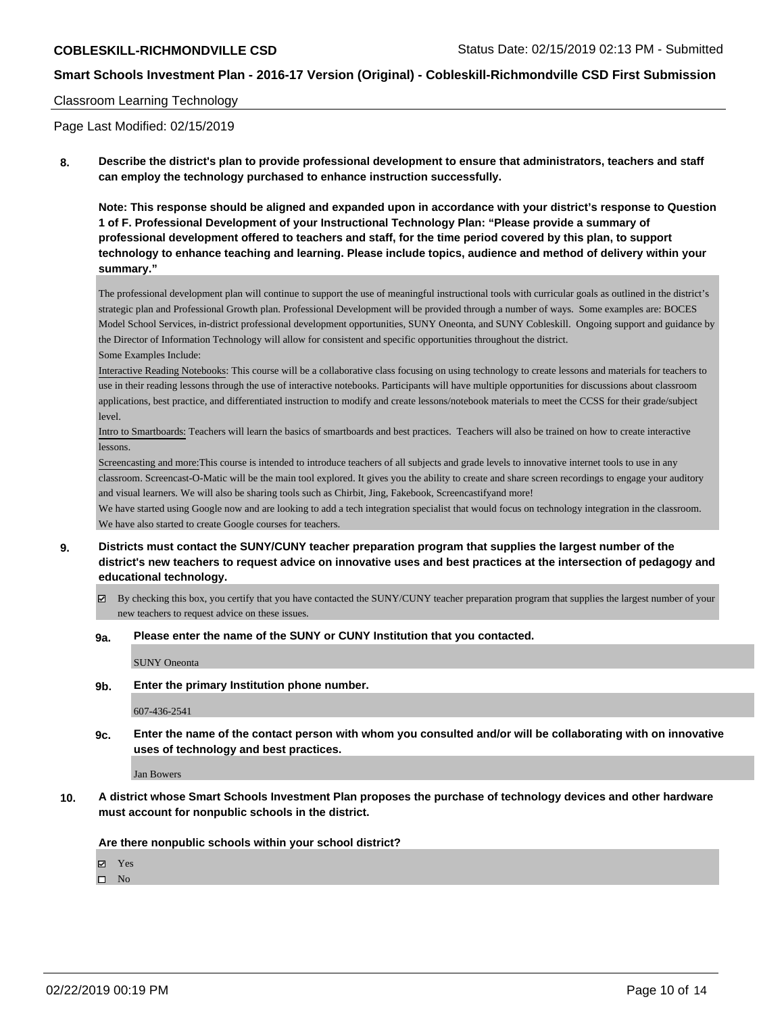#### Classroom Learning Technology

Page Last Modified: 02/15/2019

**8. Describe the district's plan to provide professional development to ensure that administrators, teachers and staff can employ the technology purchased to enhance instruction successfully.**

**Note: This response should be aligned and expanded upon in accordance with your district's response to Question 1 of F. Professional Development of your Instructional Technology Plan: "Please provide a summary of professional development offered to teachers and staff, for the time period covered by this plan, to support technology to enhance teaching and learning. Please include topics, audience and method of delivery within your summary."**

The professional development plan will continue to support the use of meaningful instructional tools with curricular goals as outlined in the district's strategic plan and Professional Growth plan. Professional Development will be provided through a number of ways. Some examples are: BOCES Model School Services, in-district professional development opportunities, SUNY Oneonta, and SUNY Cobleskill. Ongoing support and guidance by the Director of Information Technology will allow for consistent and specific opportunities throughout the district. Some Examples Include:

Interactive Reading Notebooks: This course will be a collaborative class focusing on using technology to create lessons and materials for teachers to use in their reading lessons through the use of interactive notebooks. Participants will have multiple opportunities for discussions about classroom applications, best practice, and differentiated instruction to modify and create lessons/notebook materials to meet the CCSS for their grade/subject level.

Intro to Smartboards: Teachers will learn the basics of smartboards and best practices. Teachers will also be trained on how to create interactive lessons.

Screencasting and more:This course is intended to introduce teachers of all subjects and grade levels to innovative internet tools to use in any classroom. Screencast-O-Matic will be the main tool explored. It gives you the ability to create and share screen recordings to engage your auditory and visual learners. We will also be sharing tools such as Chirbit, Jing, Fakebook, Screencastifyand more!

We have started using Google now and are looking to add a tech integration specialist that would focus on technology integration in the classroom. We have also started to create Google courses for teachers.

- **9. Districts must contact the SUNY/CUNY teacher preparation program that supplies the largest number of the district's new teachers to request advice on innovative uses and best practices at the intersection of pedagogy and educational technology.**
	- By checking this box, you certify that you have contacted the SUNY/CUNY teacher preparation program that supplies the largest number of your new teachers to request advice on these issues.
	- **9a. Please enter the name of the SUNY or CUNY Institution that you contacted.**

SUNY Oneonta

**9b. Enter the primary Institution phone number.**

607-436-2541

**9c. Enter the name of the contact person with whom you consulted and/or will be collaborating with on innovative uses of technology and best practices.**

Jan Bowers

**10. A district whose Smart Schools Investment Plan proposes the purchase of technology devices and other hardware must account for nonpublic schools in the district.**

**Are there nonpublic schools within your school district?**

Yes

 $\square$  No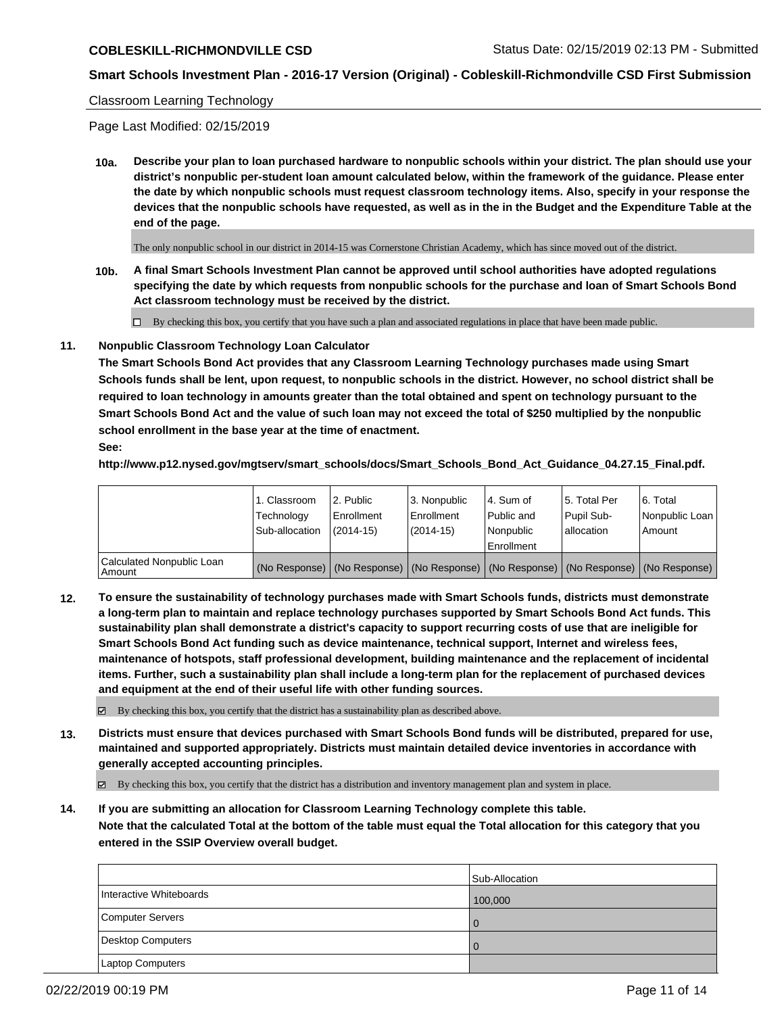#### Classroom Learning Technology

Page Last Modified: 02/15/2019

**10a. Describe your plan to loan purchased hardware to nonpublic schools within your district. The plan should use your district's nonpublic per-student loan amount calculated below, within the framework of the guidance. Please enter the date by which nonpublic schools must request classroom technology items. Also, specify in your response the devices that the nonpublic schools have requested, as well as in the in the Budget and the Expenditure Table at the end of the page.**

The only nonpublic school in our district in 2014-15 was Cornerstone Christian Academy, which has since moved out of the district.

**10b. A final Smart Schools Investment Plan cannot be approved until school authorities have adopted regulations specifying the date by which requests from nonpublic schools for the purchase and loan of Smart Schools Bond Act classroom technology must be received by the district.**

 $\Box$  By checking this box, you certify that you have such a plan and associated regulations in place that have been made public.

#### **11. Nonpublic Classroom Technology Loan Calculator**

**The Smart Schools Bond Act provides that any Classroom Learning Technology purchases made using Smart Schools funds shall be lent, upon request, to nonpublic schools in the district. However, no school district shall be required to loan technology in amounts greater than the total obtained and spent on technology pursuant to the Smart Schools Bond Act and the value of such loan may not exceed the total of \$250 multiplied by the nonpublic school enrollment in the base year at the time of enactment.**

**See:**

**http://www.p12.nysed.gov/mgtserv/smart\_schools/docs/Smart\_Schools\_Bond\_Act\_Guidance\_04.27.15\_Final.pdf.**

|                                       | 1. Classroom<br>Technology | 2. Public<br>Enrollment | l 3. Nonpublic<br>Enrollment | l 4. Sum of<br>Public and | l 5. Total Per<br>Pupil Sub- | l 6. Total<br>Nonpublic Loan                                                                  |
|---------------------------------------|----------------------------|-------------------------|------------------------------|---------------------------|------------------------------|-----------------------------------------------------------------------------------------------|
|                                       | Sub-allocation             | $(2014 - 15)$           | (2014-15)                    | l Nonpublic               | allocation                   | l Amount                                                                                      |
|                                       |                            |                         |                              | Enrollment                |                              |                                                                                               |
| Calculated Nonpublic Loan<br>l Amount |                            |                         |                              |                           |                              | (No Response)   (No Response)   (No Response)   (No Response)   (No Response)   (No Response) |

**12. To ensure the sustainability of technology purchases made with Smart Schools funds, districts must demonstrate a long-term plan to maintain and replace technology purchases supported by Smart Schools Bond Act funds. This sustainability plan shall demonstrate a district's capacity to support recurring costs of use that are ineligible for Smart Schools Bond Act funding such as device maintenance, technical support, Internet and wireless fees, maintenance of hotspots, staff professional development, building maintenance and the replacement of incidental items. Further, such a sustainability plan shall include a long-term plan for the replacement of purchased devices and equipment at the end of their useful life with other funding sources.**

 $\boxtimes$  By checking this box, you certify that the district has a sustainability plan as described above.

**13. Districts must ensure that devices purchased with Smart Schools Bond funds will be distributed, prepared for use, maintained and supported appropriately. Districts must maintain detailed device inventories in accordance with generally accepted accounting principles.**

By checking this box, you certify that the district has a distribution and inventory management plan and system in place.

**14. If you are submitting an allocation for Classroom Learning Technology complete this table. Note that the calculated Total at the bottom of the table must equal the Total allocation for this category that you entered in the SSIP Overview overall budget.**

|                         | Sub-Allocation |
|-------------------------|----------------|
| Interactive Whiteboards | 100,000        |
| Computer Servers        |                |
| Desktop Computers       |                |
| Laptop Computers        |                |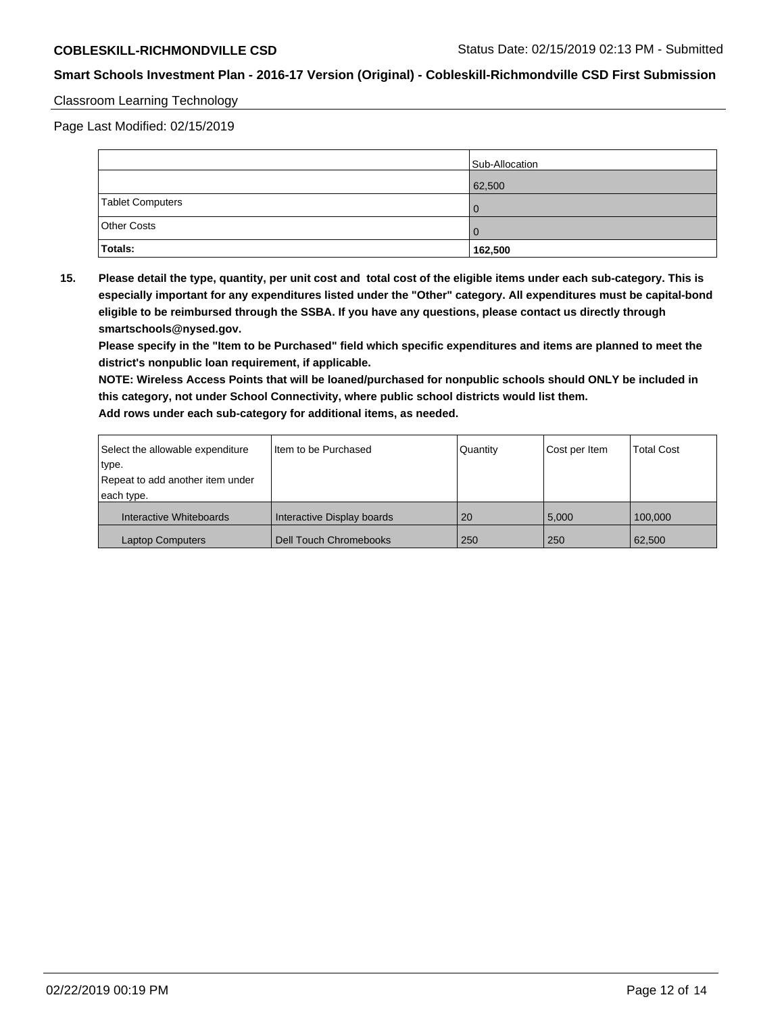## Classroom Learning Technology

Page Last Modified: 02/15/2019

|                    | Sub-Allocation |
|--------------------|----------------|
|                    | 62,500         |
| Tablet Computers   |                |
| <b>Other Costs</b> |                |
| Totals:            | 162,500        |

**15. Please detail the type, quantity, per unit cost and total cost of the eligible items under each sub-category. This is especially important for any expenditures listed under the "Other" category. All expenditures must be capital-bond eligible to be reimbursed through the SSBA. If you have any questions, please contact us directly through smartschools@nysed.gov.**

**Please specify in the "Item to be Purchased" field which specific expenditures and items are planned to meet the district's nonpublic loan requirement, if applicable.**

**NOTE: Wireless Access Points that will be loaned/purchased for nonpublic schools should ONLY be included in this category, not under School Connectivity, where public school districts would list them. Add rows under each sub-category for additional items, as needed.**

| Select the allowable expenditure | I Item to be Purchased        | Quantity  | Cost per Item | <b>Total Cost</b> |
|----------------------------------|-------------------------------|-----------|---------------|-------------------|
| type.                            |                               |           |               |                   |
| Repeat to add another item under |                               |           |               |                   |
| each type.                       |                               |           |               |                   |
| Interactive Whiteboards          | Interactive Display boards    | <b>20</b> | 5.000         | 100.000           |
| <b>Laptop Computers</b>          | <b>Dell Touch Chromebooks</b> | 250       | 250           | 62,500            |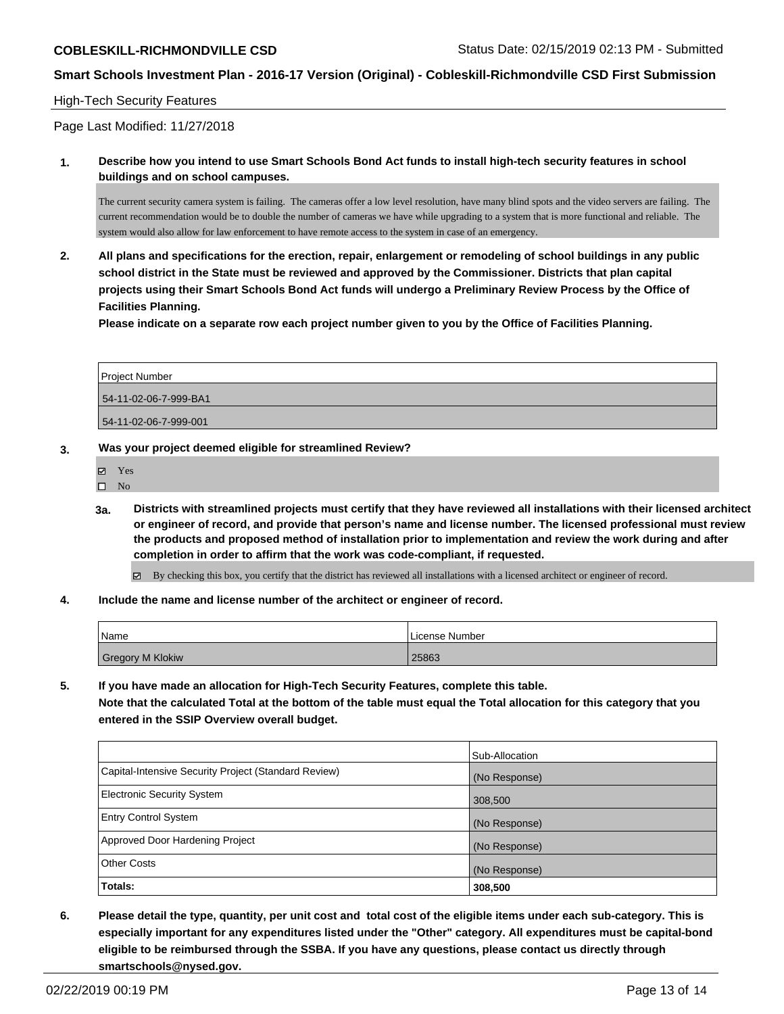### High-Tech Security Features

Page Last Modified: 11/27/2018

**1. Describe how you intend to use Smart Schools Bond Act funds to install high-tech security features in school buildings and on school campuses.**

The current security camera system is failing. The cameras offer a low level resolution, have many blind spots and the video servers are failing. The current recommendation would be to double the number of cameras we have while upgrading to a system that is more functional and reliable. The system would also allow for law enforcement to have remote access to the system in case of an emergency.

**2. All plans and specifications for the erection, repair, enlargement or remodeling of school buildings in any public school district in the State must be reviewed and approved by the Commissioner. Districts that plan capital projects using their Smart Schools Bond Act funds will undergo a Preliminary Review Process by the Office of Facilities Planning.** 

**Please indicate on a separate row each project number given to you by the Office of Facilities Planning.**

| Project Number        |  |
|-----------------------|--|
| 54-11-02-06-7-999-BA1 |  |
| 54-11-02-06-7-999-001 |  |

#### **3. Was your project deemed eligible for streamlined Review?**

Yes

 $\square$  No

- **3a. Districts with streamlined projects must certify that they have reviewed all installations with their licensed architect or engineer of record, and provide that person's name and license number. The licensed professional must review the products and proposed method of installation prior to implementation and review the work during and after completion in order to affirm that the work was code-compliant, if requested.**
	- By checking this box, you certify that the district has reviewed all installations with a licensed architect or engineer of record.
- **4. Include the name and license number of the architect or engineer of record.**

| Name             | License Number |
|------------------|----------------|
| Gregory M Klokiw | 25863          |

**5. If you have made an allocation for High-Tech Security Features, complete this table. Note that the calculated Total at the bottom of the table must equal the Total allocation for this category that you entered in the SSIP Overview overall budget.**

|                                                      | Sub-Allocation |
|------------------------------------------------------|----------------|
| Capital-Intensive Security Project (Standard Review) | (No Response)  |
| <b>Electronic Security System</b>                    | 308,500        |
| <b>Entry Control System</b>                          | (No Response)  |
| Approved Door Hardening Project                      | (No Response)  |
| <b>Other Costs</b>                                   | (No Response)  |
| Totals:                                              | 308,500        |

**6. Please detail the type, quantity, per unit cost and total cost of the eligible items under each sub-category. This is especially important for any expenditures listed under the "Other" category. All expenditures must be capital-bond eligible to be reimbursed through the SSBA. If you have any questions, please contact us directly through smartschools@nysed.gov.**